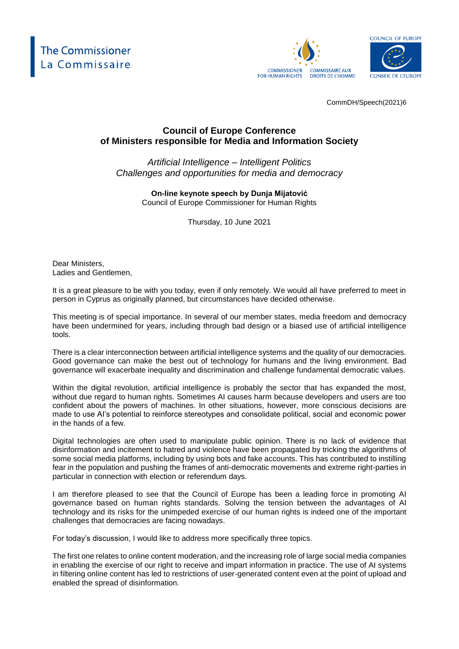





CommDH/Speech(2021)6

## **Council of Europe Conference of Ministers responsible for Media and Information Society**

## *Artificial Intelligence – Intelligent Politics Challenges and opportunities for media and democracy*

**On-line keynote speech by Dunja Mijatović** Council of Europe Commissioner for Human Rights

Thursday, 10 June 2021

Dear Ministers, Ladies and Gentlemen,

It is a great pleasure to be with you today, even if only remotely. We would all have preferred to meet in person in Cyprus as originally planned, but circumstances have decided otherwise.

This meeting is of special importance. In several of our member states, media freedom and democracy have been undermined for years, including through bad design or a biased use of artificial intelligence tools.

There is a clear interconnection between artificial intelligence systems and the quality of our democracies. Good governance can make the best out of technology for humans and the living environment. Bad governance will exacerbate inequality and discrimination and challenge fundamental democratic values.

Within the digital revolution, artificial intelligence is probably the sector that has expanded the most, without due regard to human rights. Sometimes AI causes harm because developers and users are too confident about the powers of machines. In other situations, however, more conscious decisions are made to use AI's potential to reinforce stereotypes and consolidate political, social and economic power in the hands of a few.

Digital technologies are often used to manipulate public opinion. There is no lack of evidence that disinformation and incitement to hatred and violence have been propagated by tricking the algorithms of some social media platforms, including by using bots and fake accounts. This has contributed to instilling fear in the population and pushing the frames of anti-democratic movements and extreme right-parties in particular in connection with election or referendum days.

I am therefore pleased to see that the Council of Europe has been a leading force in promoting AI governance based on human rights standards. Solving the tension between the advantages of AI technology and its risks for the unimpeded exercise of our human rights is indeed one of the important challenges that democracies are facing nowadays.

For today's discussion, I would like to address more specifically three topics.

The first one relates to online content moderation, and the increasing role of large social media companies in enabling the exercise of our right to receive and impart information in practice. The use of AI systems in filtering online content has led to restrictions of user-generated content even at the point of upload and enabled the spread of disinformation.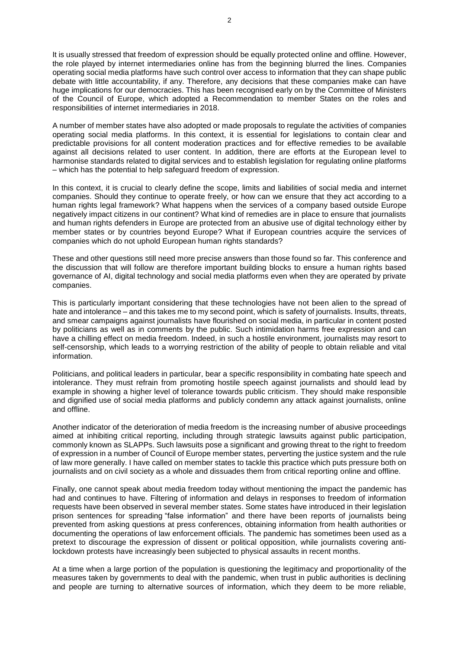It is usually stressed that freedom of expression should be equally protected online and offline. However, the role played by internet intermediaries online has from the beginning blurred the lines. Companies operating social media platforms have such control over access to information that they can shape public debate with little accountability, if any. Therefore, any decisions that these companies make can have huge implications for our democracies. This has been recognised early on by the Committee of Ministers of the Council of Europe, which adopted a Recommendation to member States on the roles and responsibilities of internet intermediaries in 2018.

A number of member states have also adopted or made proposals to regulate the activities of companies operating social media platforms. In this context, it is essential for legislations to contain clear and predictable provisions for all content moderation practices and for effective remedies to be available against all decisions related to user content. In addition, there are efforts at the European level to harmonise standards related to digital services and to establish legislation for regulating online platforms – which has the potential to help safeguard freedom of expression.

In this context, it is crucial to clearly define the scope, limits and liabilities of social media and internet companies. Should they continue to operate freely, or how can we ensure that they act according to a human rights legal framework? What happens when the services of a company based outside Europe negatively impact citizens in our continent? What kind of remedies are in place to ensure that journalists and human rights defenders in Europe are protected from an abusive use of digital technology either by member states or by countries beyond Europe? What if European countries acquire the services of companies which do not uphold European human rights standards?

These and other questions still need more precise answers than those found so far. This conference and the discussion that will follow are therefore important building blocks to ensure a human rights based governance of AI, digital technology and social media platforms even when they are operated by private companies.

This is particularly important considering that these technologies have not been alien to the spread of hate and intolerance – and this takes me to my second point, which is safety of journalists. Insults, threats, and smear campaigns against journalists have flourished on social media, in particular in content posted by politicians as well as in comments by the public. Such intimidation harms free expression and can have a chilling effect on media freedom. Indeed, in such a hostile environment, journalists may resort to self-censorship, which leads to a worrying restriction of the ability of people to obtain reliable and vital information.

Politicians, and political leaders in particular, bear a specific responsibility in combating hate speech and intolerance. They must refrain from promoting hostile speech against journalists and should lead by example in showing a higher level of tolerance towards public criticism. They should make responsible and dignified use of social media platforms and publicly condemn any attack against journalists, online and offline.

Another indicator of the deterioration of media freedom is the increasing number of abusive proceedings aimed at inhibiting critical reporting, including through strategic lawsuits against public participation, commonly known as SLAPPs. Such lawsuits pose a significant and growing threat to the right to freedom of expression in a number of Council of Europe member states, perverting the justice system and the rule of law more generally. I have called on member states to tackle this practice which puts pressure both on journalists and on civil society as a whole and dissuades them from critical reporting online and offline.

Finally, one cannot speak about media freedom today without mentioning the impact the pandemic has had and continues to have. Filtering of information and delays in responses to freedom of information requests have been observed in several member states. Some states have introduced in their legislation prison sentences for spreading "false information" and there have been reports of journalists being prevented from asking questions at press conferences, obtaining information from health authorities or documenting the operations of law enforcement officials. The pandemic has sometimes been used as a pretext to discourage the expression of dissent or political opposition, while journalists covering antilockdown protests have increasingly been subjected to physical assaults in recent months.

At a time when a large portion of the population is questioning the legitimacy and proportionality of the measures taken by governments to deal with the pandemic, when trust in public authorities is declining and people are turning to alternative sources of information, which they deem to be more reliable,